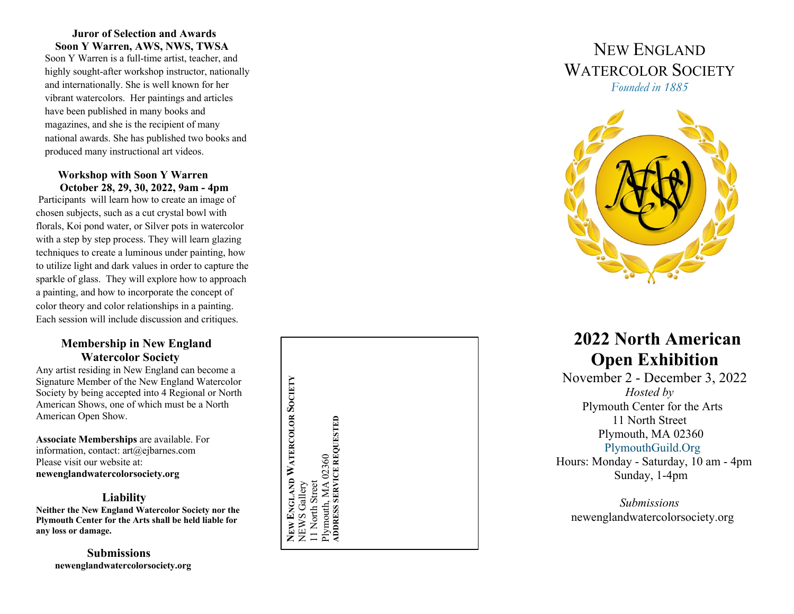#### **Juror of Selection and Awards Soon Y Warren, AWS, NWS, TWSA**

Soon Y Warren is a full -time artist, teacher, and highly sought -after workshop instructor, nationally and internationally. She is well known for her vibrant watercolors. Her paintings and articles have been published in many books and magazines, and she is the recipient of many national awards. She has published two books and produced many instructional art videos.

#### **Workshop with Soon Y Warren October 28, 29, 30, 20 2 2, 9am - 4pm**

Participants will learn how to create an image of chosen subjects, such as a cut crystal bowl with florals, Koi pond water, or Silver pots in watercolor with a step by step process. They will learn glazing techniques to create a luminous under painting , how to utilize light and dark values in order to capture the sparkle of glass. They will explore how to approach a painting, and how to incorporate the concept of color theory and color relationships in a painting. Each session will include discussion and critiques.

## **Membership in New England Watercolor Society**

Any artist residing in New England can become a Signature Member of the New England Watercolor Society by being accepted into 4 Regional or North American Shows, one of which must be a North American Open Show .

**Associate Memberships** are available. For information, contact: art@ejbarnes.com Please visit our website at: **newenglandwatercolorsociety.org**

### **Liability**

**Neither the New England Watercolor Society nor the Plymouth Center for the Arts shall be held liable for any loss or damage .**

 **Submissions newenglandwatercolorsociety.org** 

NEW ENGLAND WATERCOLOR SOCIETY<br>NEWS Gallery **NEW ENGLAND WATERCOLOR SOCIETY** Plymouth, MA 02360<br>ADDRESS SERVICE REQUESTED **ADDRESS SERVICE REQUESTED**Plymouth, MA 02360 11 North Street 11 North Street NEWS Gallery





# **20 2 2 North American Open Exhibition**

 November 2 - December 3, 20 2 2 *Hosted by* Plymouth Center for the Arts 11 North Street Plymouth, MA 02360 PlymouthGuild.Org Hours: Monday - Saturday, 10 am - 4pm

Sunday, 1 -4pm

*Submissions* newenglandwatercolorsociety.org